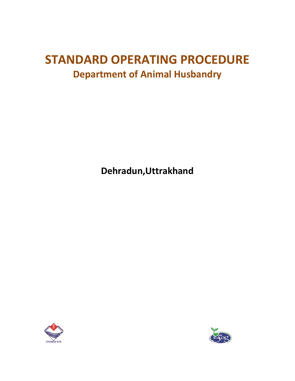# **STANDARD OPERATING PROCEDURE Department of Animal Husbandry**

**Dehradun,Uttrakhand**



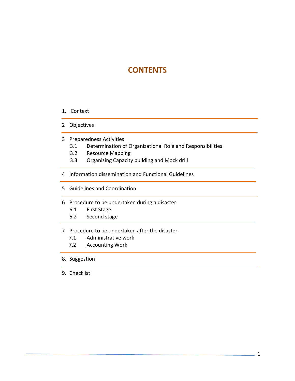# **CONTENTS**

- 1. Context
- 2 Objectives
- 3 Preparedness Activities
	- 3.1 Determination of Organizational Role and Responsibilities
	- 3.2 Resource Mapping
	- 3.3 Organizing Capacity building and Mock drill
- 4 Information dissemination and Functional Guidelines
- 5 Guidelines and Coordination
- 6 Procedure to be undertaken during a disaster
	- 6.1 First Stage
	- 6.2 Second stage
- 7 Procedure to be undertaken after the disaster
	- 7.1 Administrative work
	- 7.2 Accounting Work
- 8. Suggestion
- 9. Checklist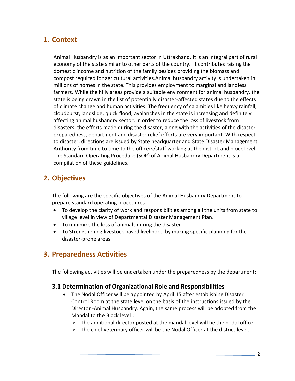## **1. Context**

Animal Husbandry is as an important sector in Uttrakhand. It is an integral part of rural economy of the state similar to other parts of the country. It contributes raising the domestic income and nutrition of the family besides providing the biomass and compost required for agricultural activities.Animal husbandry activity is undertaken in millions of homes in the state. This provides employment to marginal and landless farmers. While the hilly areas provide a suitable environment for animal husbandry, the state is being drawn in the list of potentially disaster-affected states due to the effects of climate change and human activities. The frequency of calamities like heavy rainfall, cloudburst, landslide, quick flood, avalanches in the state is increasing and definitely affecting animal husbandry sector. In order to reduce the loss of livestock from disasters, the efforts made during the disaster, along with the activities of the disaster preparedness, department and disaster relief efforts are very important. With respect to disaster, directions are issued by State headquarter and State Disaster Management Authority from time to time to the officers/staff working at the district and block level. The Standard Operating Procedure (SOP) of Animal Husbandry Department is a compilation of these guidelines.

## **2. Objectives**

The following are the specific objectives of the Animal Husbandry Department to prepare standard operating procedures :

- To develop the clarity of work and responsibilities among all the units from state to village level in view of Departmental Disaster Management Plan.
- To minimize the loss of animals during the disaster
- To Strengthening livestock based livelihood by making specific planning for the disaster-prone areas

## **3. Preparedness Activities**

The following activities will be undertaken under the preparedness by the department:

#### **3.1 Determination of Organizational Role and Responsibilities**

- The Nodal Officer will be appointed by April 15 after establishing Disaster Control Room at the state level on the basis of the instructions issued by the Director -Animal Husbandry. Again, the same process will be adopted from the Mandal to the Block level :
	- $\checkmark$  The additional director posted at the mandal level will be the nodal officer.
	- $\checkmark$  The chief veterinary officer will be the Nodal Officer at the district level.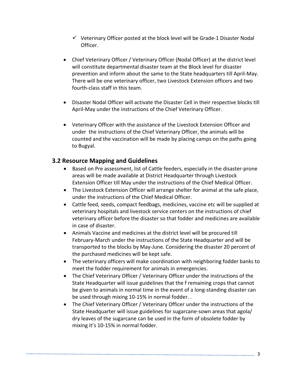- $\checkmark$  Veterinary Officer posted at the block level will be Grade-1 Disaster Nodal Officer.
- Chief Veterinary Officer / Veterinary Officer (Nodal Officer) at the district level will constitute departmental disaster team at the Block level for disaster prevention and inform about the same to the State headquarters till April-May. There will be one veterinary officer, two Livestock Extension officers and two fourth-class staff in this team.
- Disaster Nodal Officer will activate the Disaster Cell in their respective blocks till April-May under the instructions of the Chief Veterinary Officer.
- Veterinary Officer with the assistance of the Livestock Extension Officer and under the instructions of the Chief Veterinary Officer, the animals will be counted and the vaccination will be made by placing camps on the paths going to Bugyal.

#### **3.2 Resource Mapping and Guidelines**

- Based on Pre assessment, list of Cattle feeders, especially in the disaster-prone areas will be made available at District Headquarter through Livestock Extension Officer till May under the instructions of the Chief Medical Officer.
- The Livestock Extension Officer will arrange shelter for animal at the safe place, under the instructions of the Chief Medical Officer.
- Cattle feed, seeds, compact feedbags, medicines, vaccine etc will be supplied at veterinary hospitals and livestock service centers on the instructions of chief veterinary officer before the disaster so that fodder and medicines are available in case of disaster.
- Animals Vaccine and medicines at the district level will be procured till February-March under the instructions of the State Headquarter and will be transported to the blocks by May-June. Considering the disaster 20 percent of the purchased medicines will be kept safe.
- The veterinary officers will make coordination with neighboring fodder banks to meet the fodder requirement for animals in emergencies.
- The Chief Veterinary Officer / Veterinary Officer under the instructions of the State Headquarter will issue guidelines that the f remaining crops that cannot be given to animals in normal time in the event of a long-standing disaster can be used through mixing 10-15% in normal fodder. .
- The Chief Veterinary Officer / Veterinary Officer under the instructions of the State Headquarter will issue guidelines for sugarcane-sown areas that agola/ dry leaves of the sugarcane can be used in the form of obsolete fodder by mixing it's 10-15% in normal fodder.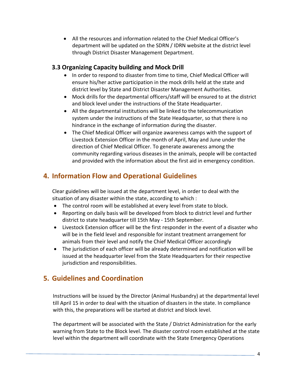All the resources and information related to the Chief Medical Officer's department will be updated on the SDRN / IDRN website at the district level through District Disaster Management Department.

#### **3.3 Organizing Capacity building and Mock Drill**

- In order to respond to disaster from time to time, Chief Medical Officer will ensure his/her active participation in the mock drills held at the state and district level by State and District Disaster Management Authorities.
- Mock drills for the departmental officers/staff will be ensured to at the district and block level under the instructions of the State Headquarter.
- All the departmental institutions will be linked to the telecommunication system under the instructions of the State Headquarter, so that there is no hindrance in the exchange of information during the disaster.
- The Chief Medical Officer will organize awareness camps with the support of Livestock Extension Officer in the month of April, May and June under the direction of Chief Medical Officer. To generate awareness among the community regarding various diseases in the animals, people will be contacted and provided with the information about the first aid in emergency condition.

# **4. Information Flow and Operational Guidelines**

Clear guidelines will be issued at the department level, in order to deal with the situation of any disaster within the state, according to which :

- The control room will be established at every level from state to block.
- Reporting on daily basis will be developed from block to district level and further district to state headquarter till 15th May - 15th September.
- Livestock Extension officer will be the first responder in the event of a disaster who will be in the field level and responsible for instant treatment arrangement for animals from their level and notify the Chief Medical Officer accordingly
- The jurisdiction of each officer will be already determined and notification will be issued at the headquarter level from the State Headquarters for their respective jurisdiction and responsibilities.

# **5. Guidelines and Coordination**

Instructions will be issued by the Director (Animal Husbandry) at the departmental level till April 15 in order to deal with the situation of disasters in the state. In compliance with this, the preparations will be started at district and block level.

The department will be associated with the State / District Administration for the early warning from State to the Block level. The disaster control room established at the state level within the department will coordinate with the State Emergency Operations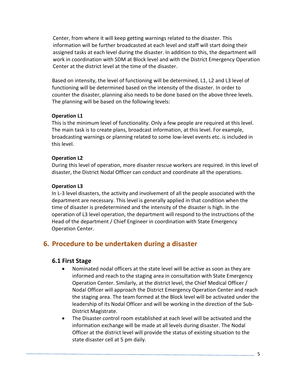Center, from where it will keep getting warnings related to the disaster. This information will be further broadcasted at each level and staff will start doing their assigned tasks at each level during the disaster. In addition to this, the department will work in coordination with SDM at Block level and with the District Emergency Operation Center at the district level at the time of the disaster.

Based on intensity, the level of functioning will be determined, L1, L2 and L3 level of functioning will be determined based on the intensity of the disaster. In order to counter the disaster, planning also needs to be done based on the above three levels. The planning will be based on the following levels:

#### **Operation L1**

This is the minimum level of functionality. Only a few people are required at this level. The main task is to create plans, broadcast information, at this level. For example, broadcasting warnings or planning related to some low-level events etc. is included in this level.

#### **Operation L2**

During this level of operation, more disaster rescue workers are required. In this level of disaster, the District Nodal Officer can conduct and coordinate all the operations.

#### **Operation L3**

In L-3 level disasters, the activity and involvement of all the people associated with the department are necessary. This level is generally applied in that condition when the time of disaster is predetermined and the intensity of the disaster is high. In the operation of L3 level operation, the department will respond to the instructions of the Head of the department / Chief Engineer in coordination with State Emergency Operation Center.

## **6. Procedure to be undertaken during a disaster**

#### **6.1 First Stage**

- Nominated nodal officers at the state level will be active as soon as they are informed and reach to the staging area in consultation with State Emergency Operation Center. Similarly, at the district level, the Chief Medical Officer / Nodal Officer will approach the District Emergency Operation Center and reach the staging area. The team formed at the Block level will be activated under the leadership of its Nodal Officer and will be working in the direction of the Sub-District Magistrate.
- The Disaster control room established at each level will be activated and the information exchange will be made at all levels during disaster. The Nodal Officer at the district level will provide the status of existing situation to the state disaster cell at 5 pm daily.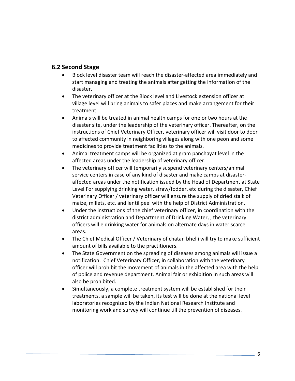#### **6.2 Second Stage**

- Block level disaster team will reach the disaster-affected area immediately and start managing and treating the animals after getting the information of the disaster.
- The veterinary officer at the Block level and Livestock extension officer at village level will bring animals to safer places and make arrangement for their treatment.
- Animals will be treated in animal health camps for one or two hours at the disaster site, under the leadership of the veterinary officer. Thereafter, on the instructions of Chief Veterinary Officer, veterinary officer will visit door to door to affected community in neighboring villages along with one peon and some medicines to provide treatment facilities to the animals.
- Animal treatment camps will be organized at gram panchayat level in the affected areas under the leadership of veterinary officer.
- The veterinary officer will temporarily suspend veterinary centers/animal service centers in case of any kind of disaster and make camps at disasteraffected areas under the notification issued by the Head of Department at State Level For supplying drinking water, straw/fodder, etc during the disaster, Chief Veterinary Officer / veterinary officer will ensure the supply of dried stalk of maize, millets, etc. and lentil peel with the help of District Administration.
- Under the instructions of the chief veterinary officer, in coordination with the district administration and Department of Drinking Water, , the veterinary officers will e drinking water for animals on alternate days in water scarce areas.
- The Chief Medical Officer / Veterinary of chatan bhelli will try to make sufficient amount of bills available to the practitioners.
- The State Government on the spreading of diseases among animals will issue a notification. Chief Veterinary Officer, in collaboration with the veterinary officer will prohibit the movement of animals in the affected area with the help of police and revenue department. Animal fair or exhibition in such areas will also be prohibited.
- Simultaneously, a complete treatment system will be established for their treatments, a sample will be taken, its test will be done at the national level laboratories recognized by the Indian National Research Institute and monitoring work and survey will continue till the prevention of diseases.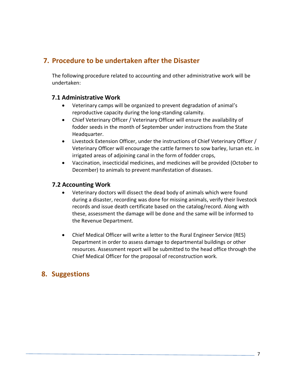# **7. Procedure to be undertaken after the Disaster**

The following procedure related to accounting and other administrative work will be undertaken:

#### **7.1 Administrative Work**

- Veterinary camps will be organized to prevent degradation of animal's reproductive capacity during the long-standing calamity.
- Chief Veterinary Officer / Veterinary Officer will ensure the availability of fodder seeds in the month of September under instructions from the State Headquarter.
- Livestock Extension Officer, under the instructions of Chief Veterinary Officer / Veterinary Officer will encourage the cattle farmers to sow barley, lursan etc. in irrigated areas of adjoining canal in the form of fodder crops,
- Vaccination, insecticidal medicines, and medicines will be provided (October to December) to animals to prevent manifestation of diseases.

#### **7.2 Accounting Work**

- Veterinary doctors will dissect the dead body of animals which were found during a disaster, recording was done for missing animals, verify their livestock records and issue death certificate based on the catalog/record. Along with these, assessment the damage will be done and the same will be informed to the Revenue Department.
- Chief Medical Officer will write a letter to the Rural Engineer Service (RES) Department in order to assess damage to departmental buildings or other resources. Assessment report will be submitted to the head office through the Chief Medical Officer for the proposal of reconstruction work.

## **8. Suggestions**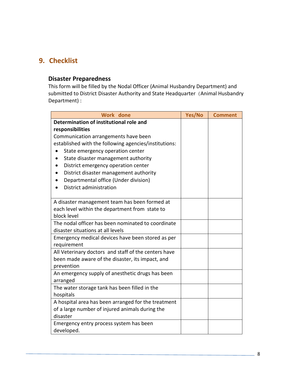# **9. Checklist**

#### **Disaster Preparedness**

This form will be filled by the Nodal Officer (Animal Husbandry Department) and submitted to District Disaster Authority and State Headquarter (Animal Husbandry Department) :

| <b>Work</b> done                                      | Yes/No | <b>Comment</b> |
|-------------------------------------------------------|--------|----------------|
| Determination of institutional role and               |        |                |
| responsibilities                                      |        |                |
| Communication arrangements have been                  |        |                |
| established with the following agencies/institutions: |        |                |
| State emergency operation center                      |        |                |
| State disaster management authority                   |        |                |
| District emergency operation center                   |        |                |
| District disaster management authority                |        |                |
| Departmental office (Under division)                  |        |                |
| District administration                               |        |                |
|                                                       |        |                |
| A disaster management team has been formed at         |        |                |
| each level within the department from state to        |        |                |
| block level                                           |        |                |
| The nodal officer has been nominated to coordinate    |        |                |
| disaster situations at all levels                     |        |                |
| Emergency medical devices have been stored as per     |        |                |
| requirement                                           |        |                |
| All Veterinary doctors and staff of the centers have  |        |                |
| been made aware of the disaster, its impact, and      |        |                |
| prevention                                            |        |                |
| An emergency supply of anesthetic drugs has been      |        |                |
| arranged                                              |        |                |
| The water storage tank has been filled in the         |        |                |
| hospitals                                             |        |                |
| A hospital area has been arranged for the treatment   |        |                |
| of a large number of injured animals during the       |        |                |
| disaster                                              |        |                |
| Emergency entry process system has been               |        |                |
| developed.                                            |        |                |